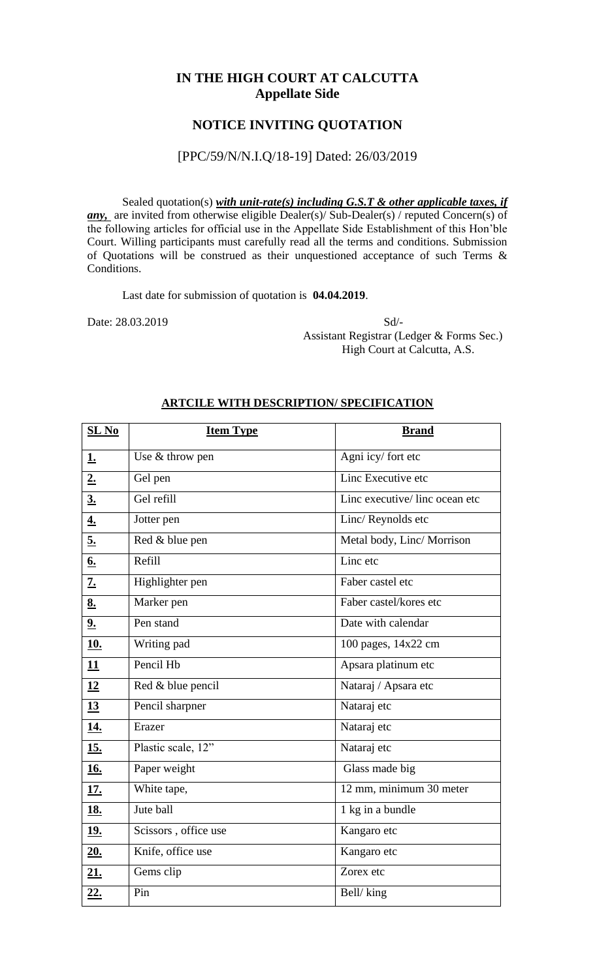## **IN THE HIGH COURT AT CALCUTTA Appellate Side**

## **NOTICE INVITING QUOTATION**

### [PPC/59/N/N.I.Q/18-19] Dated: 26/03/2019

Sealed quotation(s) *with unit-rate(s) including G.S.T & other applicable taxes, if any,* are invited from otherwise eligible Dealer(s)/ Sub-Dealer(s) / reputed Concern(s) of the following articles for official use in the Appellate Side Establishment of this Hon'ble Court. Willing participants must carefully read all the terms and conditions. Submission of Quotations will be construed as their unquestioned acceptance of such Terms & Conditions.

Last date for submission of quotation is **04.04.2019**.

Date: 28.03.2019 Sd/- Assistant Registrar (Ledger & Forms Sec.) High Court at Calcutta, A.S.

| $SL$ No          | <b>Item Type</b>     | <b>Brand</b>                  |  |
|------------------|----------------------|-------------------------------|--|
| <u>1.</u>        | Use & throw pen      | Agni icy/ fort etc            |  |
| 2.               | Gel pen              | Linc Executive etc            |  |
| $\underline{3.}$ | Gel refill           | Linc executive/linc ocean etc |  |
| 4.               | Jotter pen           | Linc/Reynolds etc             |  |
| 5.               | Red & blue pen       | Metal body, Linc/ Morrison    |  |
| 6.               | Refill               | Linc etc                      |  |
| <u>z.</u>        | Highlighter pen      | Faber castel etc              |  |
| 8.               | Marker pen           | Faber castel/kores etc        |  |
| 9.               | Pen stand            | Date with calendar            |  |
| <u>10.</u>       | Writing pad          | 100 pages, 14x22 cm           |  |
| 11               | Pencil Hb            | Apsara platinum etc           |  |
| 12               | Red & blue pencil    | Nataraj / Apsara etc          |  |
| 13               | Pencil sharpner      | Nataraj etc                   |  |
| <u>14.</u>       | Erazer               | Nataraj etc                   |  |
| <u>15.</u>       | Plastic scale, 12"   | Nataraj etc                   |  |
| <u>16.</u>       | Paper weight         | Glass made big                |  |
| <u>17.</u>       | White tape,          | 12 mm, minimum 30 meter       |  |
| <u>18.</u>       | Jute ball            | 1 kg in a bundle              |  |
| 19.              | Scissors, office use | Kangaro etc                   |  |
| 20.              | Knife, office use    | Kangaro etc                   |  |
| 21.              | Gems clip            | Zorex etc                     |  |
| 22.              | Pin                  | Bell/king                     |  |

#### **ARTCILE WITH DESCRIPTION/ SPECIFICATION**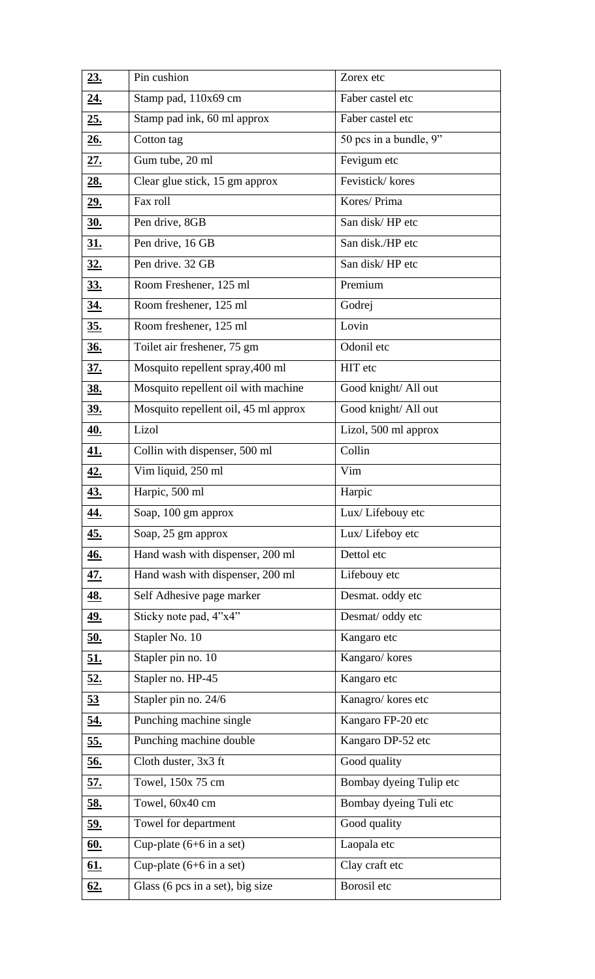| 23.               | Pin cushion                                                  | Zorex etc               |  |
|-------------------|--------------------------------------------------------------|-------------------------|--|
| <u>24.</u>        | Stamp pad, 110x69 cm                                         | Faber castel etc        |  |
| 25.               | Stamp pad ink, 60 ml approx<br>Faber castel etc              |                         |  |
| 26.               | 50 pcs in a bundle, 9"<br>Cotton tag                         |                         |  |
| 27.               | Gum tube, 20 ml<br>Fevigum etc                               |                         |  |
| <u>28.</u>        | Clear glue stick, 15 gm approx                               | Fevistick/kores         |  |
| <u>29.</u>        | Fax roll<br>Kores/ Prima                                     |                         |  |
| <u>30.</u>        | Pen drive, 8GB                                               | San disk/HP etc         |  |
| <u>31.</u>        | San disk./HP etc<br>Pen drive, 16 GB                         |                         |  |
| <u>32.</u>        | Pen drive. 32 GB                                             | San disk/HP etc         |  |
| <u>33.</u>        | Room Freshener, 125 ml                                       | Premium                 |  |
| <u>34.</u>        | Room freshener, 125 ml                                       | Godrej                  |  |
| <u>35.</u>        | Lovin<br>Room freshener, 125 ml                              |                         |  |
| $\underline{36.}$ | Odonil etc<br>Toilet air freshener, 75 gm                    |                         |  |
| <u>37.</u>        | HIT etc<br>Mosquito repellent spray, 400 ml                  |                         |  |
| <u>38.</u>        | Mosquito repellent oil with machine<br>Good knight/ All out  |                         |  |
| <u>39.</u>        | Good knight/ All out<br>Mosquito repellent oil, 45 ml approx |                         |  |
| <u>40.</u>        | Lizol                                                        | Lizol, 500 ml approx    |  |
| <u>41.</u>        | Collin with dispenser, 500 ml                                | Collin                  |  |
| <u>42.</u>        | Vim liquid, 250 ml                                           | Vim                     |  |
| <u>43.</u>        | Harpic, 500 ml                                               | Harpic                  |  |
| <u>44.</u>        | Soap, 100 gm approx                                          | Lux/Lifebouy etc        |  |
| <u>45.</u>        | Soap, 25 gm approx                                           | Lux/Lifeboy etc         |  |
| <u>46.</u>        | Hand wash with dispenser, 200 ml                             | Dettol etc              |  |
| <u>47.</u>        | Hand wash with dispenser, 200 ml                             | Lifebouy etc            |  |
| <u>48.</u>        | Self Adhesive page marker                                    | Desmat. oddy etc        |  |
| <u>49.</u>        | Sticky note pad, 4"x4"                                       | Desmat/ oddy etc        |  |
| <u>50.</u>        | Stapler No. 10                                               | Kangaro etc             |  |
| <u>51.</u>        | Stapler pin no. 10<br>Kangaro/kores                          |                         |  |
| 52.               | Stapler no. HP-45<br>Kangaro etc                             |                         |  |
| 53                | Stapler pin no. 24/6                                         | Kanagro/ kores etc      |  |
| <u>54.</u>        | Punching machine single                                      | Kangaro FP-20 etc       |  |
| <u>55.</u>        | Punching machine double                                      | Kangaro DP-52 etc       |  |
| <u>56.</u>        | Cloth duster, 3x3 ft                                         | Good quality            |  |
| <u>57.</u>        | Towel, 150x 75 cm                                            | Bombay dyeing Tulip etc |  |
| <u>58.</u>        | Towel, 60x40 cm                                              | Bombay dyeing Tuli etc  |  |
| <u>59.</u>        | Towel for department                                         | Good quality            |  |
| <u>60.</u>        | Cup-plate $(6+6$ in a set)                                   | Laopala etc             |  |
| <u>61.</u>        | Cup-plate $(6+6$ in a set)                                   | Clay craft etc          |  |
| <u>62.</u>        | Borosil etc<br>Glass (6 pcs in a set), big size              |                         |  |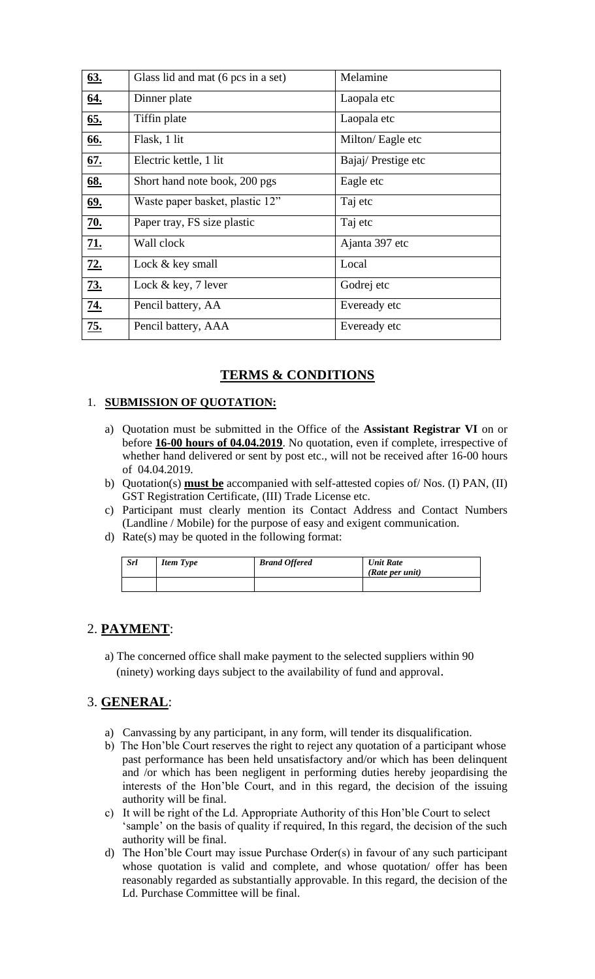| <u>63.</u> | Glass lid and mat (6 pcs in a set) | Melamine           |  |
|------------|------------------------------------|--------------------|--|
| <u>64.</u> | Dinner plate                       | Laopala etc        |  |
| 65.        | Tiffin plate                       | Laopala etc        |  |
| <u>66.</u> | Flask, 1 lit                       | Milton/Eagle etc   |  |
| <u>67.</u> | Electric kettle, 1 lit             | Bajaj/Prestige etc |  |
| <u>68.</u> | Short hand note book, 200 pgs      | Eagle etc          |  |
| <u>69.</u> | Waste paper basket, plastic 12"    | Taj etc            |  |
| 70.        | Paper tray, FS size plastic        | Taj etc            |  |
| 21.        | Wall clock                         | Ajanta 397 etc     |  |
| 72.        | Lock & key small                   | Local              |  |
| <u>73.</u> | Lock $& \text{key}, 7$ lever       | Godrej etc         |  |
| <u>74.</u> | Pencil battery, AA                 | Eveready etc       |  |
| <u>75.</u> | Pencil battery, AAA                | Eveready etc       |  |

# **TERMS & CONDITIONS**

### 1. **SUBMISSION OF QUOTATION:**

- a) Quotation must be submitted in the Office of the **Assistant Registrar VI** on or before **16-00 hours of 04.04.2019**. No quotation, even if complete, irrespective of whether hand delivered or sent by post etc., will not be received after 16-00 hours of 04.04.2019.
- b) Quotation(s) **must be** accompanied with self-attested copies of/ Nos. (I) PAN, (II) GST Registration Certificate, (III) Trade License etc.
- c) Participant must clearly mention its Contact Address and Contact Numbers (Landline / Mobile) for the purpose of easy and exigent communication.
- d) Rate(s) may be quoted in the following format:

| <b>Srl</b> | <b>Item Type</b> | <b>Brand Offered</b> | <b>Unit Rate</b><br>(Rate per unit) |
|------------|------------------|----------------------|-------------------------------------|
|            |                  |                      |                                     |

### 2. **PAYMENT**:

a) The concerned office shall make payment to the selected suppliers within 90 (ninety) working days subject to the availability of fund and approval.

## 3. **GENERAL**:

- a) Canvassing by any participant, in any form, will tender its disqualification.
- b) The Hon'ble Court reserves the right to reject any quotation of a participant whose past performance has been held unsatisfactory and/or which has been delinquent and /or which has been negligent in performing duties hereby jeopardising the interests of the Hon'ble Court, and in this regard, the decision of the issuing authority will be final.
- c) It will be right of the Ld. Appropriate Authority of this Hon'ble Court to select 'sample' on the basis of quality if required, In this regard, the decision of the such authority will be final.
- d) The Hon'ble Court may issue Purchase Order(s) in favour of any such participant whose quotation is valid and complete, and whose quotation/ offer has been reasonably regarded as substantially approvable. In this regard, the decision of the Ld. Purchase Committee will be final.